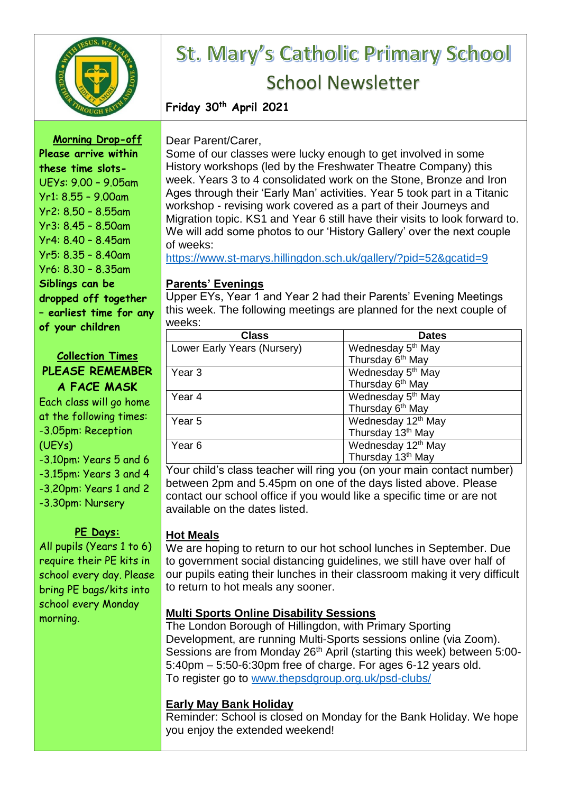

# St. Mary's Catholic Primary School School Newsletter

**Friday 30th April 2021**

**Morning Drop-off Please arrive within these time slots-**UEYs: 9.00 – 9.05am Yr1: 8.55 – 9.00am Yr2: 8.50 – 8.55am Yr3: 8.45 – 8.50am Yr4: 8.40 – 8.45am Yr5: 8.35 – 8.40am Yr6: 8.30 – 8.35am **Siblings can be dropped off together – earliest time for any of your children**

#### **Collection Times PLEASE REMEMBER A FACE MASK**

Each class will go home at the following times: -3.05pm: Reception (UEYs) -3.10pm: Years 5 and 6 -3.15pm: Years 3 and 4 -3.20pm: Years 1 and 2 -3.30pm: Nursery

## **PE Days:**

All pupils (Years 1 to 6) require their PE kits in school every day. Please bring PE bags/kits into school every Monday morning.

Dear Parent/Carer,

Some of our classes were lucky enough to get involved in some History workshops (led by the Freshwater Theatre Company) this week. Years 3 to 4 consolidated work on the Stone, Bronze and Iron Ages through their 'Early Man' activities. Year 5 took part in a Titanic workshop - revising work covered as a part of their Journeys and Migration topic. KS1 and Year 6 still have their visits to look forward to. We will add some photos to our 'History Gallery' over the next couple of weeks:

<https://www.st-marys.hillingdon.sch.uk/gallery/?pid=52&gcatid=9>

# **Parents' Evenings**

Upper EYs, Year 1 and Year 2 had their Parents' Evening Meetings this week. The following meetings are planned for the next couple of weeks:

| <b>Class</b>                | <b>Dates</b>                   |
|-----------------------------|--------------------------------|
| Lower Early Years (Nursery) | Wednesday 5 <sup>th</sup> May  |
|                             | Thursday 6 <sup>th</sup> May   |
| Year <sub>3</sub>           | Wednesday 5 <sup>th</sup> May  |
|                             | Thursday 6 <sup>th</sup> May   |
| Year 4                      | Wednesday 5 <sup>th</sup> May  |
|                             | Thursday 6 <sup>th</sup> May   |
| Year 5                      | Wednesday 12 <sup>th</sup> May |
|                             | Thursday 13 <sup>th</sup> May  |
| Year 6                      | Wednesday 12 <sup>th</sup> May |
|                             | Thursday 13 <sup>th</sup> May  |

Your child's class teacher will ring you (on your main contact number) between 2pm and 5.45pm on one of the days listed above. Please contact our school office if you would like a specific time or are not available on the dates listed.

# **Hot Meals**

We are hoping to return to our hot school lunches in September. Due to government social distancing guidelines, we still have over half of our pupils eating their lunches in their classroom making it very difficult to return to hot meals any sooner.

# **Multi Sports Online Disability Sessions**

The London Borough of Hillingdon, with Primary Sporting Development, are running Multi-Sports sessions online (via Zoom). Sessions are from Monday 26<sup>th</sup> April (starting this week) between 5:00-5:40pm – 5:50-6:30pm free of charge. For ages 6-12 years old. To register go to [www.thepsdgroup.org.uk/psd-clubs/](https://gbr01.safelinks.protection.outlook.com/?url=http%3A%2F%2Fwww.thepsdgroup.org.uk%2Fpsd-clubs%2F&data=04%7C01%7C%7C55a77e573a8c427069a508d908cc84fa%7Caaacb679c38148fbb320f9d581ee948f%7C0%7C0%7C637550496756337912%7CUnknown%7CTWFpbGZsb3d8eyJWIjoiMC4wLjAwMDAiLCJQIjoiV2luMzIiLCJBTiI6Ik1haWwiLCJXVCI6Mn0%3D%7C1000&sdata=CnODTwPTX2w5SzBzVIyHf0ST6YCM25HiVOABpGaSUQI%3D&reserved=0)

# **Early May Bank Holiday**

Reminder: School is closed on Monday for the Bank Holiday. We hope you enjoy the extended weekend!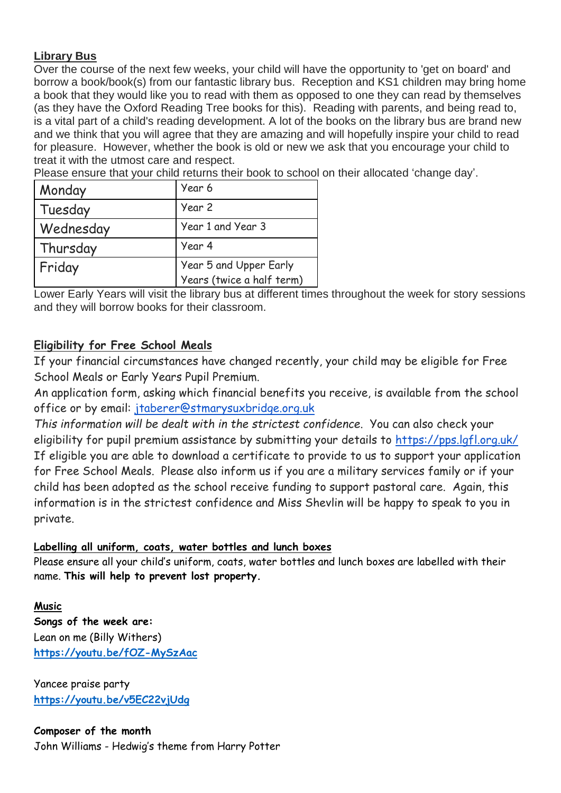#### **Library Bus**

Over the course of the next few weeks, your child will have the opportunity to 'get on board' and borrow a book/book(s) from our fantastic library bus. Reception and KS1 children may bring home a book that they would like you to read with them as opposed to one they can read by themselves (as they have the Oxford Reading Tree books for this). Reading with parents, and being read to, is a vital part of a child's reading development. A lot of the books on the library bus are brand new and we think that you will agree that they are amazing and will hopefully inspire your child to read for pleasure. However, whether the book is old or new we ask that you encourage your child to treat it with the utmost care and respect.

Please ensure that your child returns their book to school on their allocated 'change day'.

| Monday    | Year 6                    |
|-----------|---------------------------|
| Tuesday   | Year 2                    |
| Wednesday | Year 1 and Year 3         |
| Thursday  | Year 4                    |
| Friday    | Year 5 and Upper Early    |
|           | Years (twice a half term) |

Lower Early Years will visit the library bus at different times throughout the week for story sessions and they will borrow books for their classroom.

## **Eligibility for Free School Meals**

If your financial circumstances have changed recently, your child may be eligible for Free School Meals or Early Years Pupil Premium.

An application form, asking which financial benefits you receive, is available from the school office or by email: [jtaberer@stmarysuxbridge.org.uk](mailto:jtaberer@stmarysuxbridge.org.uk)

*This information will be dealt with in the strictest confidence*. You can also check your eligibility for pupil premium assistance by submitting your details to <https://pps.lgfl.org.uk/> If eligible you are able to download a certificate to provide to us to support your application for Free School Meals. Please also inform us if you are a military services family or if your child has been adopted as the school receive funding to support pastoral care. Again, this information is in the strictest confidence and Miss Shevlin will be happy to speak to you in private.

#### **Labelling all uniform, coats, water bottles and lunch boxes**

Please ensure all your child's uniform, coats, water bottles and lunch boxes are labelled with their name. **This will help to prevent lost property.**

## **Music**

**Songs of the week are:** Lean on me (Billy Withers) **<https://youtu.be/fOZ-MySzAac>**

Yancee praise party **<https://youtu.be/v5EC22vjUdg>**

**Composer of the month** John Williams - Hedwig's theme from Harry Potter